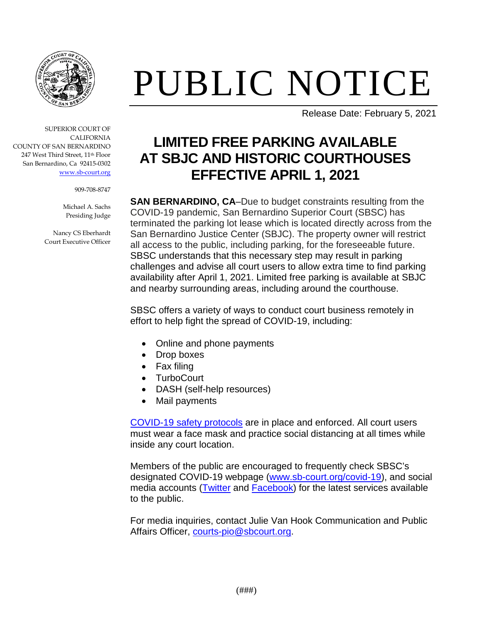

## PUBLIC NOTICE

Release Date: February 5, 2021

## **LIMITED FREE PARKING AVAILABLE AT SBJC AND HISTORIC COURTHOUSES EFFECTIVE APRIL 1, 2021**

**SAN BERNARDINO, CA–Due to budget constraints resulting from the** COVID-19 pandemic, San Bernardino Superior Court (SBSC) has terminated the parking lot lease which is located directly across from the San Bernardino Justice Center (SBJC). The property owner will restrict all access to the public, including parking, for the foreseeable future. SBSC understands that this necessary step may result in parking challenges and advise all court users to allow extra time to find parking availability after April 1, 2021. Limited free parking is available at SBJC and nearby surrounding areas, including around the courthouse.

SBSC offers a variety of ways to conduct court business remotely in effort to help fight the spread of COVID-19, including:

- Online and phone payments
- Drop boxes
- Fax filing
- TurboCourt
- DASH (self-help resources)
- Mail payments

[COVID-19 safety protocols](https://www.sb-court.org/sites/default/files/General%20Information/EnhancedSecurityMeasuresDueToCOVID-19.pdf) are in place and enforced. All court users must wear a face mask and practice social distancing at all times while inside any court location.

Members of the public are encouraged to frequently check SBSC's designated COVID-19 webpage [\(www.sb-court.org/covid-19\)](http://www.sb-court.org/covid-19), and social media accounts [\(Twitter](https://twitter.com/SanBernCourt) and [Facebook\)](https://www.facebook.com/sanberncourt/) for the latest services available to the public.

For media inquiries, contact Julie Van Hook Communication and Public Affairs Officer, [courts-pio@sbcourt.org.](mailto:courts-pio@sbcourt.org)



909-708-8747

Michael A. Sachs Presiding Judge

Nancy CS Eberhardt Court Executive Officer